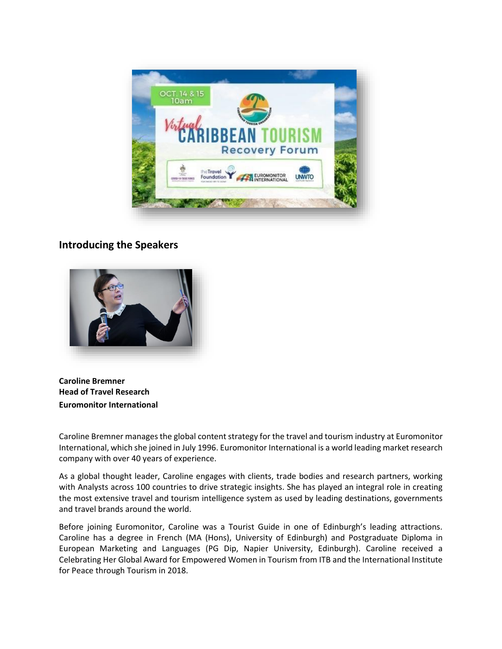

## **Introducing the Speakers**



**Caroline Bremner Head of Travel Research Euromonitor International**

Caroline Bremner manages the global content strategy for the travel and tourism industry at Euromonitor International, which she joined in July 1996. Euromonitor International is a world leading market research company with over 40 years of experience.

As a global thought leader, Caroline engages with clients, trade bodies and research partners, working with Analysts across 100 countries to drive strategic insights. She has played an integral role in creating the most extensive travel and tourism intelligence system as used by leading destinations, governments and travel brands around the world.

Before joining Euromonitor, Caroline was a Tourist Guide in one of Edinburgh's leading attractions. Caroline has a degree in French (MA (Hons), University of Edinburgh) and Postgraduate Diploma in European Marketing and Languages (PG Dip, Napier University, Edinburgh). Caroline received a Celebrating Her Global Award for Empowered Women in Tourism from ITB and the International Institute for Peace through Tourism in 2018.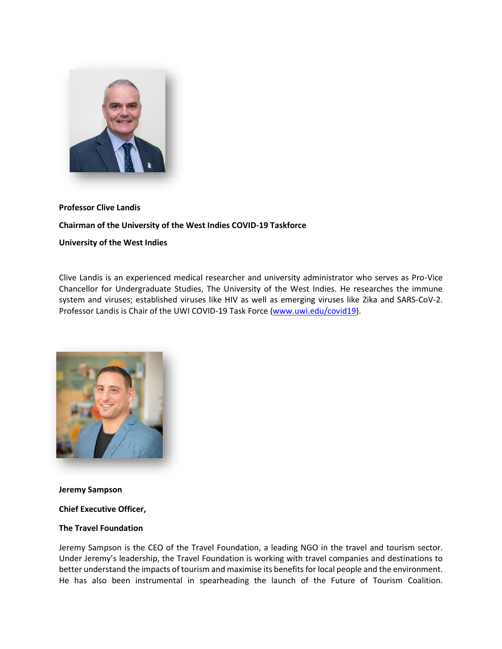

#### **Professor Clive Landis**

#### **Chairman of the University of the West Indies COVID-19 Taskforce**

## **University of the West Indies**

Clive Landis is an experienced medical researcher and university administrator who serves as Pro-Vice Chancellor for Undergraduate Studies, The University of the West Indies. He researches the immune system and viruses; established viruses like HIV as well as emerging viruses like Zika and SARS-CoV-2. Professor Landis is Chair of the UWI COVID-19 Task Force [\(www.uwi.edu/covid19\)](http://www.uwi.edu/covid19).



**Jeremy Sampson**

#### **Chief Executive Officer,**

#### **The Travel Foundation**

Jeremy Sampson is the CEO of the Travel Foundation, a leading NGO in the travel and tourism sector. Under Jeremy's leadership, the Travel Foundation is working with travel companies and destinations to better understand the impacts of tourism and maximise its benefits for local people and the environment. He has also been instrumental in spearheading the launch of the Future of Tourism Coalition.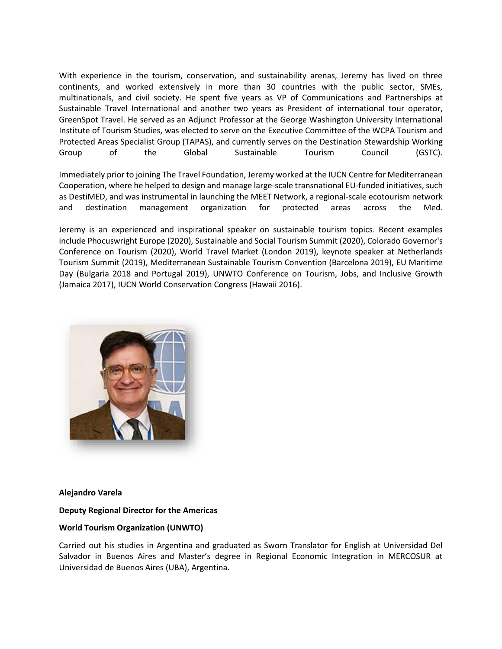With experience in the tourism, conservation, and sustainability arenas, Jeremy has lived on three continents, and worked extensively in more than 30 countries with the public sector, SMEs, multinationals, and civil society. He spent five years as VP of Communications and Partnerships at Sustainable Travel International and another two years as President of international tour operator, GreenSpot Travel. He served as an Adjunct Professor at the George Washington University International Institute of Tourism Studies, was elected to serve on the Executive Committee of the WCPA Tourism and Protected Areas Specialist Group (TAPAS), and currently serves on the Destination Stewardship Working Group of the Global Sustainable Tourism Council (GSTC).

Immediately prior to joining The Travel Foundation, Jeremy worked at the IUCN Centre for Mediterranean Cooperation, where he helped to design and manage large-scale transnational EU-funded initiatives, such as DestiMED, and was instrumental in launching the MEET Network, a regional-scale ecotourism network and destination management organization for protected areas across the Med.

Jeremy is an experienced and inspirational speaker on sustainable tourism topics. Recent examples include Phocuswright Europe (2020), Sustainable and Social Tourism Summit (2020), Colorado Governor's Conference on Tourism (2020), World Travel Market (London 2019), keynote speaker at Netherlands Tourism Summit (2019), Mediterranean Sustainable Tourism Convention (Barcelona 2019), EU Maritime Day (Bulgaria 2018 and Portugal 2019), UNWTO Conference on Tourism, Jobs, and Inclusive Growth (Jamaica 2017), IUCN World Conservation Congress (Hawaii 2016).



## **Alejandro Varela**

## **Deputy Regional Director for the Americas**

## **World Tourism Organization (UNWTO)**

Carried out his studies in Argentina and graduated as Sworn Translator for English at Universidad Del Salvador in Buenos Aires and Master's degree in Regional Economic Integration in MERCOSUR at Universidad de Buenos Aires (UBA), Argentina.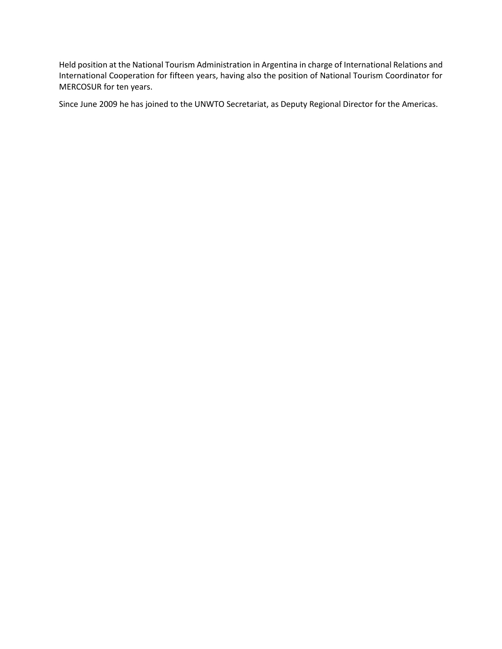Held position at the National Tourism Administration in Argentina in charge of International Relations and International Cooperation for fifteen years, having also the position of National Tourism Coordinator for MERCOSUR for ten years.

Since June 2009 he has joined to the UNWTO Secretariat, as Deputy Regional Director for the Americas.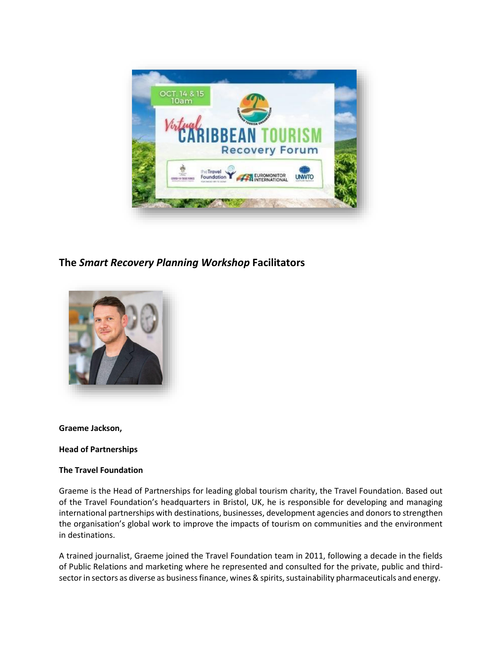

# **The** *Smart Recovery Planning Workshop* **Facilitators**



## **Graeme Jackson,**

## **Head of Partnerships**

## **The Travel Foundation**

Graeme is the Head of Partnerships for leading global tourism charity, the Travel Foundation. Based out of the Travel Foundation's headquarters in Bristol, UK, he is responsible for developing and managing international partnerships with destinations, businesses, development agencies and donors to strengthen the organisation's global work to improve the impacts of tourism on communities and the environment in destinations.

A trained journalist, Graeme joined the Travel Foundation team in 2011, following a decade in the fields of Public Relations and marketing where he represented and consulted for the private, public and thirdsector in sectors as diverse as business finance, wines & spirits, sustainability pharmaceuticals and energy.